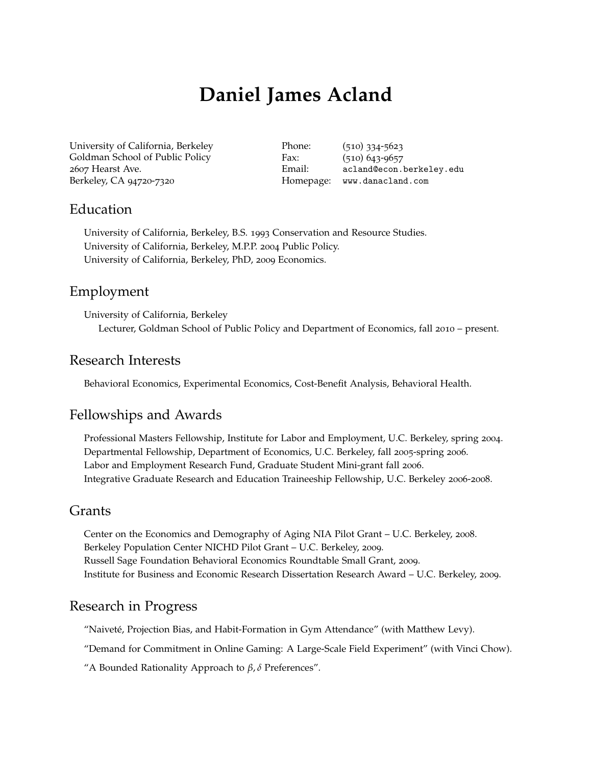# **Daniel James Acland**

University of California, Berkeley Goldman School of Public Policy 2607 Hearst Ave. Berkeley, CA 94720-7320

Phone: (510) 334-5623 Fax: (510) 643-9657 Email: [acland@econ.berkeley.edu](mailto:hotelling@unc.edu) Homepage: [www.danacland.com](http://www.danacland.com)

#### Education

University of California, Berkeley, B.S. 1993 Conservation and Resource Studies. University of California, Berkeley, M.P.P. 2004 Public Policy. University of California, Berkeley, PhD, 2009 Economics.

### Employment

University of California, Berkeley Lecturer, Goldman School of Public Policy and Department of Economics, fall 2010 – present.

### Research Interests

Behavioral Economics, Experimental Economics, Cost-Benefit Analysis, Behavioral Health.

## Fellowships and Awards

Professional Masters Fellowship, Institute for Labor and Employment, U.C. Berkeley, spring 2004. Departmental Fellowship, Department of Economics, U.C. Berkeley, fall 2005-spring 2006. Labor and Employment Research Fund, Graduate Student Mini-grant fall 2006. Integrative Graduate Research and Education Traineeship Fellowship, U.C. Berkeley 2006-2008.

### Grants

Center on the Economics and Demography of Aging NIA Pilot Grant – U.C. Berkeley, 2008. Berkeley Population Center NICHD Pilot Grant – U.C. Berkeley, 2009. Russell Sage Foundation Behavioral Economics Roundtable Small Grant, 2009. Institute for Business and Economic Research Dissertation Research Award – U.C. Berkeley, 2009.

### Research in Progress

"Naiveté, Projection Bias, and Habit-Formation in Gym Attendance" (with Matthew Levy).

"Demand for Commitment in Online Gaming: A Large-Scale Field Experiment" (with Vinci Chow).

"A Bounded Rationality Approach to *β*, *δ* Preferences".